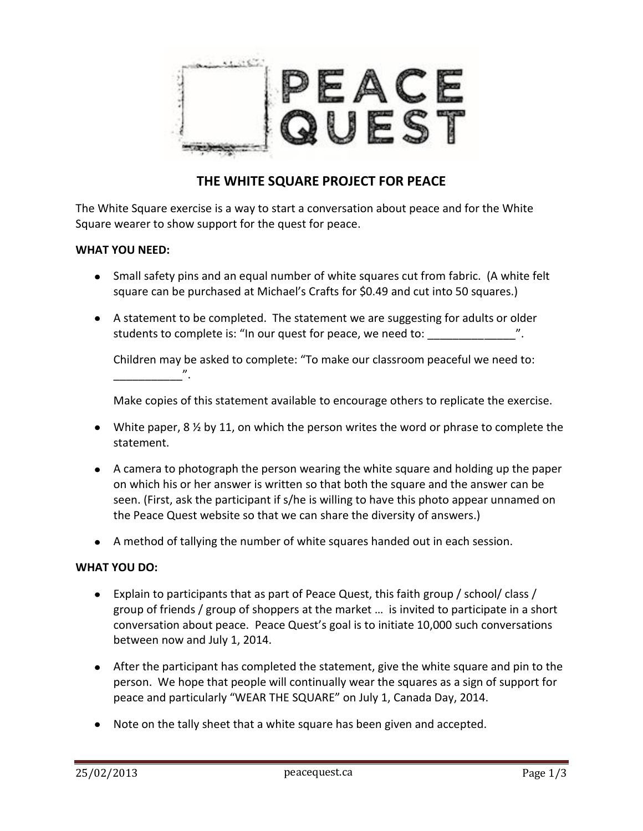

## **THE WHITE SQUARE PROJECT FOR PEACE**

The White Square exercise is a way to start a conversation about peace and for the White Square wearer to show support for the quest for peace.

## **WHAT YOU NEED:**

- Small safety pins and an equal number of white squares cut from fabric. (A white felt square can be purchased at Michael's Crafts for \$0.49 and cut into 50 squares.)
- A statement to be completed. The statement we are suggesting for adults or older students to complete is: "In our quest for peace, we need to:

Children may be asked to complete: "To make our classroom peaceful we need to:  $\mathbb{Z}$  . The state  $\mathbb{Z}$ 

Make copies of this statement available to encourage others to replicate the exercise.

- White paper,  $8\frac{1}{2}$  by 11, on which the person writes the word or phrase to complete the statement.
- A camera to photograph the person wearing the white square and holding up the paper on which his or her answer is written so that both the square and the answer can be seen. (First, ask the participant if s/he is willing to have this photo appear unnamed on the Peace Quest website so that we can share the diversity of answers.)
- A method of tallying the number of white squares handed out in each session.

## **WHAT YOU DO:**

- Explain to participants that as part of Peace Quest, this faith group / school/ class / group of friends / group of shoppers at the market … is invited to participate in a short conversation about peace. Peace Quest's goal is to initiate 10,000 such conversations between now and July 1, 2014.
- After the participant has completed the statement, give the white square and pin to the person. We hope that people will continually wear the squares as a sign of support for peace and particularly "WEAR THE SQUARE" on July 1, Canada Day, 2014.
- Note on the tally sheet that a white square has been given and accepted.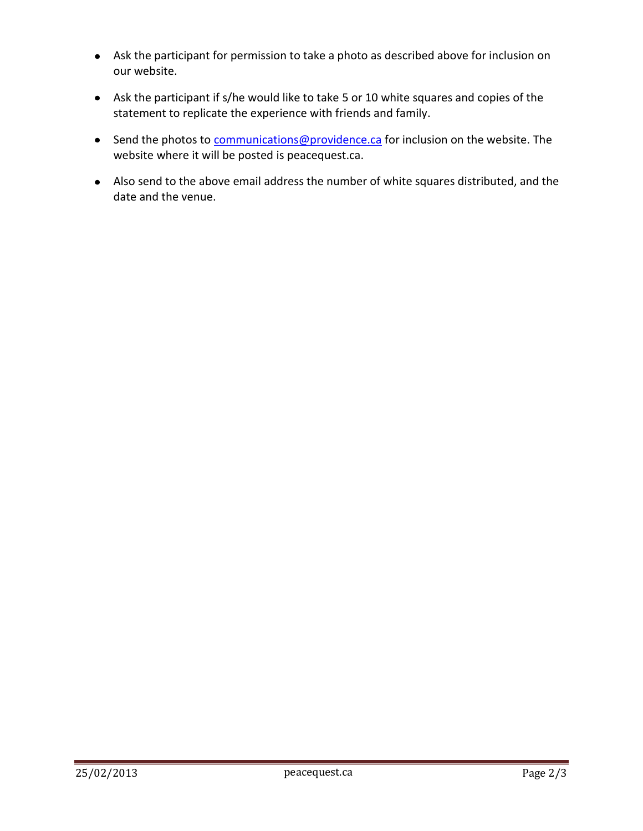- Ask the participant for permission to take a photo as described above for inclusion on our website.
- Ask the participant if s/he would like to take 5 or 10 white squares and copies of the statement to replicate the experience with friends and family.
- Send the photos to **communications@providence.ca** for inclusion on the website. The website where it will be posted is peacequest.ca.
- Also send to the above email address the number of white squares distributed, and the date and the venue.